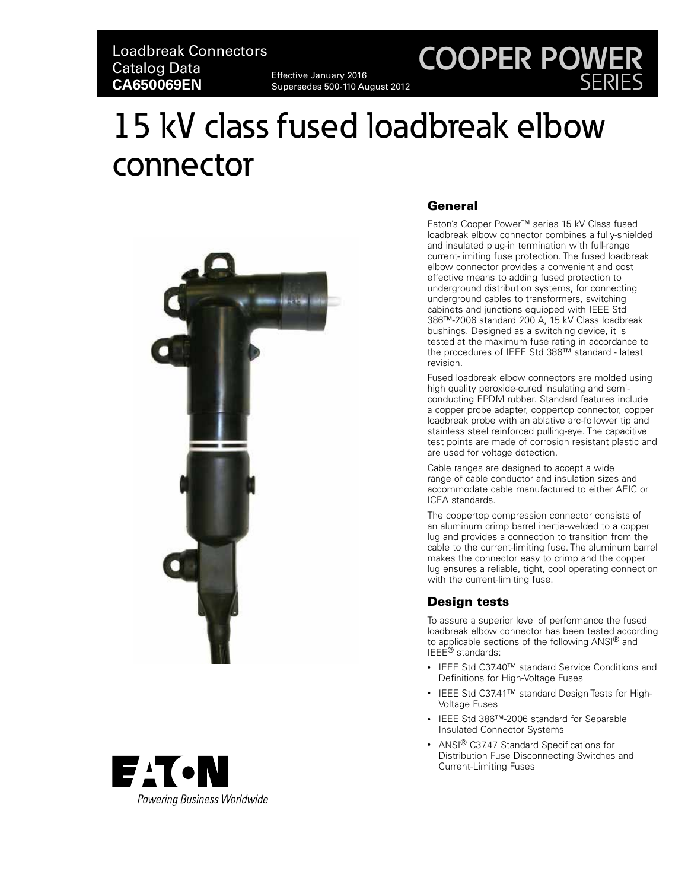# **COOPER POWER** SERIES

# 15 kV class fused loadbreak elbow connector





# **General**

Eaton's Cooper Power™ series 15 kV Class fused loadbreak elbow connector combines a fully-shielded and insulated plug-in termination with full-range current-limiting fuse protection. The fused loadbreak elbow connector provides a convenient and cost effective means to adding fused protection to underground distribution systems, for connecting underground cables to transformers, switching cabinets and junctions equipped with IEEE Std 386™-2006 standard 200 A, 15 kV Class loadbreak bushings. Designed as a switching device, it is tested at the maximum fuse rating in accordance to the procedures of IEEE Std 386™ standard - latest revision.

Fused loadbreak elbow connectors are molded using high quality peroxide-cured insulating and semiconducting EPDM rubber. Standard features include a copper probe adapter, coppertop connector, copper loadbreak probe with an ablative arc-follower tip and stainless steel reinforced pulling-eye. The capacitive test points are made of corrosion resistant plastic and are used for voltage detection.

Cable ranges are designed to accept a wide range of cable conductor and insulation sizes and accommodate cable manufactured to either AEIC or ICEA standards.

The coppertop compression connector consists of an aluminum crimp barrel inertia-welded to a copper lug and provides a connection to transition from the cable to the current-limiting fuse. The aluminum barrel makes the connector easy to crimp and the copper lug ensures a reliable, tight, cool operating connection with the current-limiting fuse.

# Desian tests

To assure a superior level of performance the fused loadbreak elbow connector has been tested according to applicable sections of the following ANSI® and IEEE<sup>®</sup> standards:

- IEEE Std C37.40™ standard Service Conditions and Definitions for High-Voltage Fuses
- IEEE Std C37.41™ standard Design Tests for High-Voltage Fuses
- IEEE Std 386™-2006 standard for Separable Insulated Connector Systems
- ANSI<sup>®</sup> C37.47 Standard Specifications for Distribution Fuse Disconnecting Switches and Current-Limiting Fuses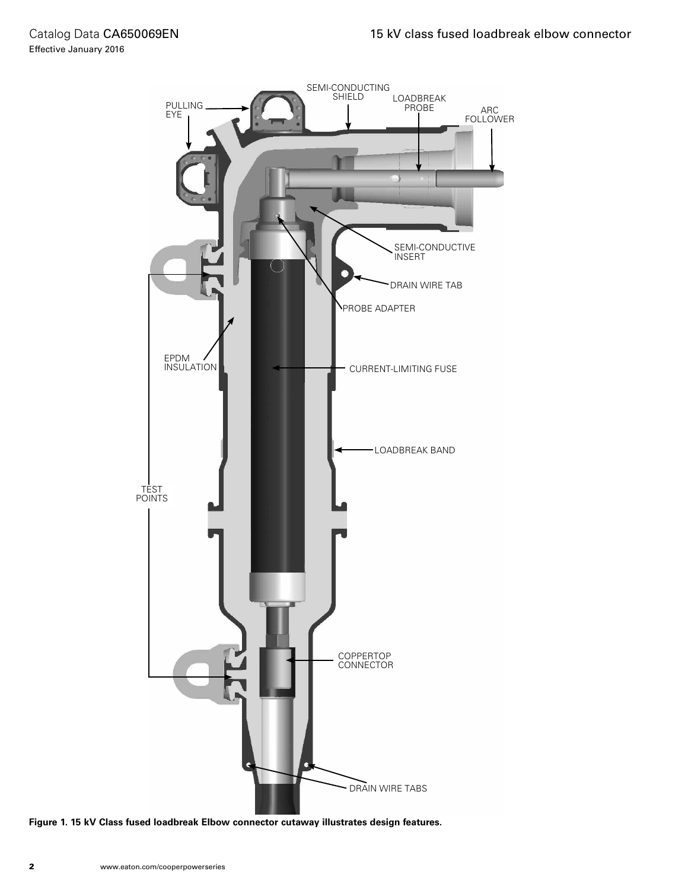

**Figure 1. 15 kV Class fused loadbreak Elbow connector cutaway illustrates design features.**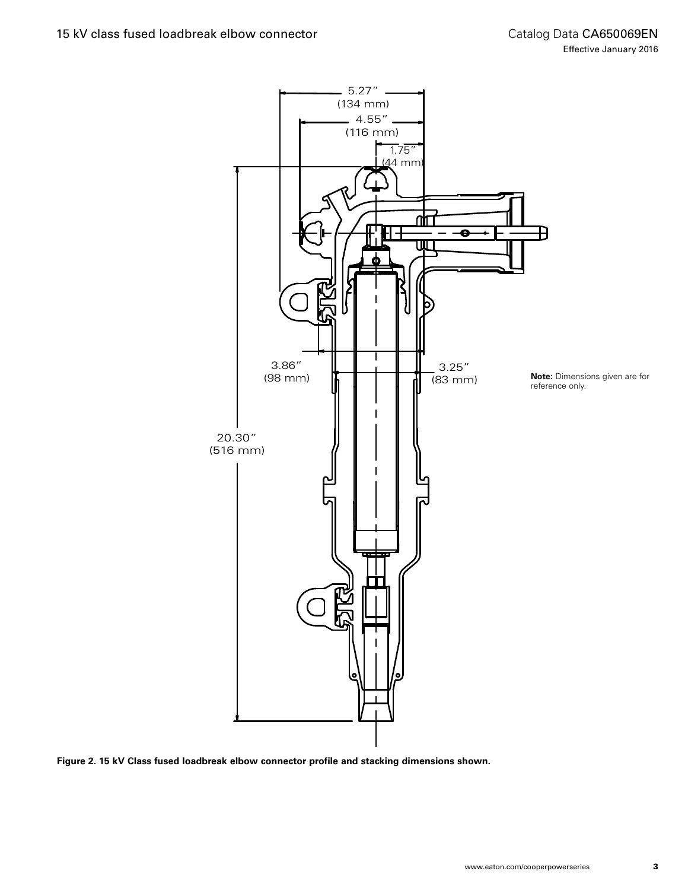

**Figure 2. 15 kV Class fused loadbreak elbow connector profile and stacking dimensions shown.**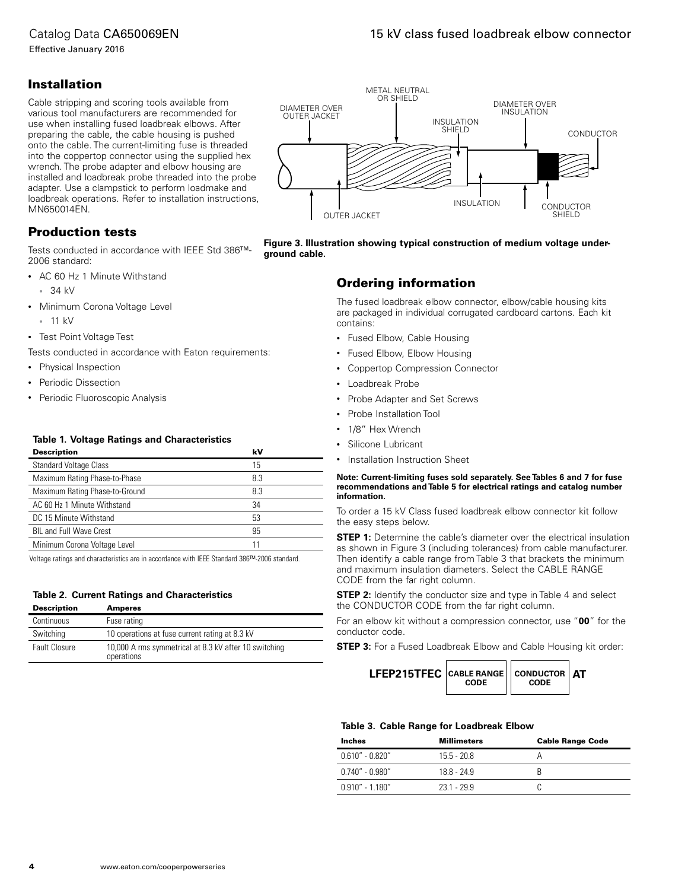# Catalog Data CA650069EN

Effective January 2016

# Installation

Cable stripping and scoring tools available from various tool manufacturers are recommended for use when installing fused loadbreak elbows. After preparing the cable, the cable housing is pushed onto the cable. The current-limiting fuse is threaded into the coppertop connector using the supplied hex wrench. The probe adapter and elbow housing are installed and loadbreak probe threaded into the probe adapter. Use a clampstick to perform loadmake and loadbreak operations. Refer to installation instructions, MN650014EN.

# Production tests

Tests conducted in accordance with IEEE Std 386™- 2006 standard:

- AC 60 Hz 1 Minute Withstand
	- 34 kV
- Minimum Corona Voltage Level
	- 11 kV
- Test Point Voltage Test

Tests conducted in accordance with Eaton requirements:

- Physical Inspection
- Periodic Dissection
- Periodic Fluoroscopic Analysis

#### **Table 1. Voltage Ratings and Characteristics**

| <b>Description</b>             | kV  |  |
|--------------------------------|-----|--|
| <b>Standard Voltage Class</b>  | 15  |  |
| Maximum Rating Phase-to-Phase  | 8.3 |  |
| Maximum Rating Phase-to-Ground | 8.3 |  |
| AC 60 Hz 1 Minute Withstand    | 34  |  |
| DC 15 Minute Withstand         | 53  |  |
| <b>BIL and Full Wave Crest</b> | 95  |  |
| Minimum Corona Voltage Level   | 11  |  |
|                                |     |  |

Voltage ratings and characteristics are in accordance with IEEE Standard 386™-2006 standard.

## **Table 2. Current Ratings and Characteristics**

| <b>Description</b>   | <b>Amperes</b>                                                      |
|----------------------|---------------------------------------------------------------------|
| Continuous           | Fuse rating                                                         |
| Switching            | 10 operations at fuse current rating at 8.3 kV                      |
| <b>Fault Closure</b> | 10,000 A rms symmetrical at 8.3 kV after 10 switching<br>operations |



**Figure 3. Illustration showing typical construction of medium voltage underground cable.**

# Ordering information

The fused loadbreak elbow connector, elbow/cable housing kits are packaged in individual corrugated cardboard cartons. Each kit contains:

- Fused Elbow, Cable Housing
- Fused Elbow, Elbow Housing
- Coppertop Compression Connector
- Loadbreak Probe
- Probe Adapter and Set Screws
- Probe Installation Tool
- 1/8" Hex Wrench
- Silicone Lubricant
- Installation Instruction Sheet

#### **NNote: Current-limiting fuses sold separately. See Tables 6 and 7 for fuse recommendations and Table 5 for electrical ratings and catalog number information.**

To order a 15 kV Class fused loadbreak elbow connector kit follow the easy steps below.

**STEP 1:** Determine the cable's diameter over the electrical insulation as shown in Figure 3 (including tolerances) from cable manufacturer. Then identify a cable range from Table 3 that brackets the minimum and maximum insulation diameters. Select the CABLE RANGE CODE from the far right column.

**STEP 2:** Identify the conductor size and type in Table 4 and select the CONDUCTOR CODE from the far right column.

For an elbow kit without a compression connector, use "**00**" for the conductor code.

**STEP 3:** For a Fused Loadbreak Elbow and Cable Housing kit order:

| LFEP215TFEC   CABLE RANGE     CONDUCTOR   AT<br>CODE<br>CODE |  |
|--------------------------------------------------------------|--|
|--------------------------------------------------------------|--|

#### **Table 3. Cable Range for Loadbreak Elbow**

| Inches              | <b>Millimeters</b> | <b>Cable Range Code</b> |
|---------------------|--------------------|-------------------------|
| $0.610'' - 0.820''$ | $155 - 208$        |                         |
| $0.740'' - 0.980''$ | $188 - 249$        |                         |
| $0.910" - 1.180"$   | $231 - 299$        |                         |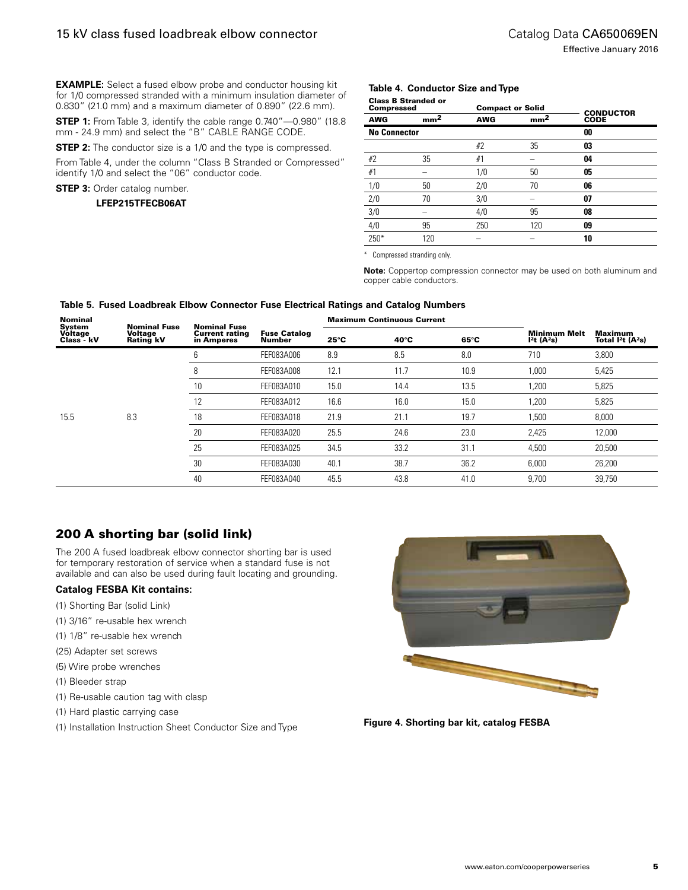**EXAMPLE:** Select a fused elbow probe and conductor housing kit for 1/0 compressed stranded with a minimum insulation diameter of 0.830" (21.0 mm) and a maximum diameter of 0.890" (22.6 mm).

**STEP 1:** From Table 3, identify the cable range 0.740"-0.980" (18.8) mm - 24.9 mm) and select the "B" CABLE RANGE CODE.

**STEP 2:** The conductor size is a 1/0 and the type is compressed.

From Table 4, under the column "Class B Stranded or Compressed" identify 1/0 and select the "06" conductor code.

**STEP 3:** Order catalog number.

#### **LFEP215TFECB06AT**

#### **Table 4. Conductor Size and Type**

| <b>Compressed</b>   | <b>Class B Stranded or</b> | <b>Compact or Solid</b> |                 | <b>CONDUCTOR</b> |  |
|---------------------|----------------------------|-------------------------|-----------------|------------------|--|
| <b>AWG</b>          | mm <sup>2</sup>            | <b>AWG</b>              | mm <sup>2</sup> | <b>CODE</b>      |  |
| <b>No Connector</b> |                            |                         |                 | 00               |  |
|                     |                            | #2                      | 35              | 03               |  |
| #2                  | 35                         | #1                      |                 | 04               |  |
| #1                  |                            | 1/0                     | 50              | 05               |  |
| 1/0                 | 50                         | 2/0                     | 70              | 06               |  |
| 2/0                 | 70                         | 3/0                     |                 | 07               |  |
| 3/0                 |                            | 4/0                     | 95              | 08               |  |
| 4/0                 | 95                         | 250                     | 120             | 09               |  |
| $250*$              | 120                        |                         |                 | 10               |  |

\* Compressed stranding only.

Note: Coppertop compression connector may be used on both aluminum and copper cable conductors.

| <b>Nominal</b>                  | <b>Nominal Fuse</b>  | <b>Nominal Fuse</b>                 |                               | <b>Maximum Continuous Current</b> |                |      |                                                            |                                           |  |
|---------------------------------|----------------------|-------------------------------------|-------------------------------|-----------------------------------|----------------|------|------------------------------------------------------------|-------------------------------------------|--|
| System<br>Voltage<br>Class - kV | Voltage<br>Rating kV | <b>Current rating</b><br>in Amperes | <b>Fuse Catalog</b><br>Number | $25^{\circ}$ C                    | $40^{\circ}$ C | 65°C | <b>Minimum Melt</b><br>I <sup>2</sup> t (A <sup>2</sup> s) | Maximum<br>Total $I2t$ (A <sup>2</sup> s) |  |
|                                 |                      | 6                                   | FEF083A006                    | 8.9                               | 8.5            | 8.0  | 710                                                        | 3,800                                     |  |
|                                 |                      | 8                                   | FEF083A008                    | 12.1                              | 11.7           | 10.9 | 1,000                                                      | 5,425                                     |  |
|                                 |                      | 10                                  | FEF083A010                    | 15.0                              | 14.4           | 13.5 | 1,200                                                      | 5,825                                     |  |
|                                 |                      | 12                                  | FEF083A012                    | 16.6                              | 16.0           | 15.0 | 1,200                                                      | 5,825                                     |  |
| 15.5                            | 8.3                  | 18                                  | FEF083A018                    | 21.9                              | 21.1           | 19.7 | 1,500                                                      | 8,000                                     |  |
|                                 |                      | 20                                  | FEF083A020                    | 25.5                              | 24.6           | 23.0 | 2,425                                                      | 12,000                                    |  |
|                                 |                      | 25                                  | FEF083A025                    | 34.5                              | 33.2           | 31.1 | 4,500                                                      | 20,500                                    |  |
|                                 |                      | 30                                  | FEF083A030                    | 40.1                              | 38.7           | 36.2 | 6,000                                                      | 26,200                                    |  |
|                                 |                      | 40                                  | FEF083A040                    | 45.5                              | 43.8           | 41.0 | 9,700                                                      | 39,750                                    |  |

#### **Table 5. Fused Loadbreak Elbow Connector Fuse Electrical Ratings and Catalog Numbers**

# 200 A shorting bar (solid link)

The 200 A fused loadbreak elbow connector shorting bar is used for temporary restoration of service when a standard fuse is not available and can also be used during fault locating and grounding.

#### **Catalog FESBA Kit contains:**

- (1) Shorting Bar (solid Link)
- (1) 3/16" re-usable hex wrench
- (1) 1/8" re-usable hex wrench
- (25) Adapter set screws
- (5) Wire probe wrenches
- (1) Bleeder strap
- (1) Re-usable caution tag with clasp
- (1) Hard plastic carrying case
- (1) Installation Instruction Sheet Conductor Size and Type



**Figure 4. Shorting bar kit, catalog FESBA**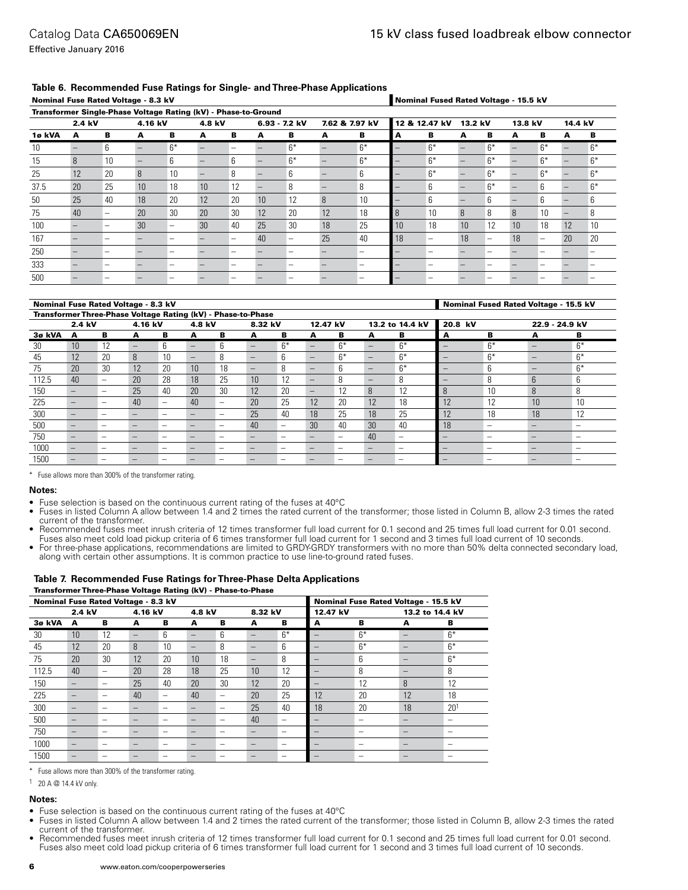Effective January 2016

#### **Table 6. Recommended Fuse Ratings for Single- and Three-Phase Applications**

| Nominal Fuse Rated Voltage - 8.3 kV                            |        |    |         |      |                 |    |    |                 |              | Nominal Fused Rated Voltage - 15.5 kV |    |               |         |                   |         |      |         |      |
|----------------------------------------------------------------|--------|----|---------|------|-----------------|----|----|-----------------|--------------|---------------------------------------|----|---------------|---------|-------------------|---------|------|---------|------|
| Transformer Single-Phase Voltage Rating (kV) - Phase-to-Ground |        |    |         |      |                 |    |    |                 |              |                                       |    |               |         |                   |         |      |         |      |
|                                                                | 2.4 kV |    | 4.16 kV |      | 4.8 kV          |    |    | $6.93 - 7.2$ kV |              | 7.62 & 7.97 kV                        |    | 12 & 12.47 kV | 13.2 kV |                   | 13.8 kV |      | 14.4 kV |      |
| 1ø kVA                                                         | А      | в  | А       | в    | А               | в  | A  | в               | А            | в                                     | А  | в             | А       | в                 | А       | в    | A       | в    |
| 10                                                             |        | 6  |         | $6*$ |                 | -  |    | $6*$            |              | $6*$                                  |    | $6*$          |         | $6*$              |         | $6*$ |         | $6*$ |
| 15                                                             | 8      | 10 |         | 6    |                 | 6  |    | $6*$            |              | $6*$                                  |    | $6*$          |         | $6*$              |         | $6*$ |         | $6*$ |
| 25                                                             | 12     | 20 | 8       | 10   |                 | 8  |    | 6               |              | 6                                     |    | $6*$          |         | $6*$              |         | $6*$ |         | $6*$ |
| 37.5                                                           | 20     | 25 | 10      | 18   | 10 <sup>1</sup> | 12 |    | 8               |              | 8                                     |    | 6             |         | $6*$              |         | 6    |         | $6*$ |
| 50                                                             | 25     | 40 | 18      | 20   | 12              | 20 | 10 | 12              | $\mathsf{R}$ | 10                                    |    | 6             |         | 6                 |         | 6    |         | 6    |
| 75                                                             | 40     | -  | 20      | 30   | 20              | 30 | 12 | 20              | 12           | 18                                    | 8  | 10            | 8       | 8                 | 8       | 10   |         | 8    |
| 100                                                            |        |    | 30      | -    | 30 <sup>°</sup> | 40 | 25 | 30              | 18           | 25                                    | 10 | 18            | 10      | 12                | 10      | 18   | 12      | 10   |
| 167                                                            |        |    |         |      |                 | -  | 40 |                 | 25           | 40                                    | 18 | -             | 18      | $\qquad \qquad -$ | 18      | -    | 20      | 20   |
| 250                                                            |        |    |         |      |                 |    |    |                 |              |                                       |    |               |         |                   |         |      |         |      |
| 333                                                            |        | -  |         | -    |                 | -  |    |                 |              |                                       |    |               |         |                   |         |      |         |      |
| 500                                                            |        | -  |         |      |                 |    |    |                 |              |                                       |    |               |         |                   |         |      |         |      |

#### Nominal Fuse Rated Voltage - 8.3 kV Nominal Fused Rated Voltage - 15.5 kV

|        | Transformer Three-Phase Voltage Rating (kV) - Phase-to-Phase |                          |                          |    |        |                          |                          |      |                          |      |                          |                 |         |                          |                 |      |
|--------|--------------------------------------------------------------|--------------------------|--------------------------|----|--------|--------------------------|--------------------------|------|--------------------------|------|--------------------------|-----------------|---------|--------------------------|-----------------|------|
|        | 2.4 kV                                                       |                          | 4.16 kV                  |    | 4.8 kV |                          | 8.32 kV                  |      | 12.47 kV                 |      |                          | 13.2 to 14.4 kV | 20.8 kV |                          | 22.9 - 24.9 kV  |      |
| 3ø kVA | А                                                            | в                        | А                        | в  | А      | в                        | А                        | в    | A                        | в    | А                        | в               | A       | в                        | A               | в    |
| 30     | 10 <sup>1</sup>                                              | 12                       | $\overline{\phantom{m}}$ | h  |        | 6                        | $\qquad \qquad -$        | $6*$ | $\overline{\phantom{0}}$ | $6*$ |                          | $6*$            |         | $6*$                     |                 | $6*$ |
| 45     | 12                                                           | 20                       | 8                        | 10 |        | 8                        | $\qquad \qquad -$        | 6    | $\qquad \qquad -$        | $6*$ | $\overline{\phantom{a}}$ | $6*$            |         | $6*$                     |                 | $6*$ |
| 75     | 20                                                           | 30                       | 12                       | 20 | 10     | 18                       | $\qquad \qquad -$        | 8    | $\qquad \qquad -$        | 6    | $\overline{\phantom{a}}$ | $6*$            |         | 6                        |                 | $6*$ |
| 112.5  | 40                                                           | -                        | 20                       | 28 | 18     | 25                       | 10                       | 12   | $\qquad \qquad -$        | -8   | $\overline{\phantom{a}}$ | 8               |         | 8                        | $6\overline{6}$ | 6    |
| 150    |                                                              | -                        | 25                       | 40 | 20     | 30                       | 12                       | 20   | $\qquad \qquad -$        | 12   | 8                        | 12              |         | 10                       | 8               | 8    |
| 225    |                                                              | $\overline{\phantom{a}}$ | 40                       | -  | 40     | $\overline{\phantom{a}}$ | 20                       | 25   | 12                       | 20   | 12                       | 18              | 12      | 12                       | 10              | 10   |
| 300    |                                                              | $\overline{\phantom{a}}$ | $\overline{\phantom{a}}$ | -  |        | $\overline{\phantom{a}}$ | 25                       | 40   | 18                       | 25   | 18                       | 25              | 12      | 18                       | 18              | 12   |
| 500    | -                                                            | -                        | $\overline{\phantom{a}}$ | -  |        | $\overline{\phantom{a}}$ | 40                       | -    | 30                       | 40   | 30                       | 40              | 18      | $\overline{\phantom{a}}$ |                 |      |
| 750    |                                                              | -                        | $\overline{\phantom{a}}$ |    |        | -                        | $\overline{\phantom{0}}$ | -    | $\overline{\phantom{0}}$ | -    | 40                       | -               |         | $\overline{\phantom{a}}$ |                 |      |
| 1000   |                                                              | -                        | $\overline{\phantom{a}}$ |    |        | $\overline{\phantom{a}}$ | $\overline{\phantom{0}}$ | -    | $\overline{\phantom{0}}$ | -    | $-$                      | -               |         | -                        |                 |      |
| 1500   |                                                              |                          |                          |    |        |                          | $\overline{\phantom{a}}$ |      |                          |      |                          |                 |         | $\overline{\phantom{a}}$ |                 |      |

\* Fuse allows more than 300% of the transformer rating.

#### **Notes:**

- Fuse selection is based on the continuous current rating of the fuses at 40°C
- Fuses in listed Column A allow between 1.4 and 2 times the rated current of the transformer; those listed in Column B, allow 2-3 times the rated current of the transformer.
- Recommended fuses meet inrush criteria of 12 times transformer full load current for 0.1 second and 25 times full load current for 0.01 second.
- Fuses also meet cold load pickup criteria of 6 times transformer full load current for 1 second and 3 times full load current of 10 seconds.
- For three-phase applications, recommendations are limited to GRDY-GRDY transformers with no more than 50% delta connected secondary load, along with certain other assumptions. It is common practice to use line-to-ground rated fuses.

#### **Table 7. Recommended Fuse Ratings for Three-Phase Delta Applications** Transformer Three-Phase Voltage Rating (kV) - Phase-to-Phase

| Nominal Fuse Rated Voltage - 8.3 kV |                   |                          |                          | Nominal Fuse Rated Voltage - 15.5 kV |                              |                          |                          |                          |                          |                          |                              |                          |
|-------------------------------------|-------------------|--------------------------|--------------------------|--------------------------------------|------------------------------|--------------------------|--------------------------|--------------------------|--------------------------|--------------------------|------------------------------|--------------------------|
|                                     | 2.4 kV            |                          | 4.16 kV                  |                                      | 4.8 kV                       |                          | 8.32 kV                  |                          | 12.47 kV                 |                          | 13.2 to 14.4 kV              |                          |
| 3ø kVA                              | A                 | в                        | A                        | в                                    | A                            | в                        | A                        | в                        | A                        | в                        | A                            | в                        |
| 30                                  | 10                | 12                       | $\overline{\phantom{0}}$ | 6                                    | $\qquad \qquad \blacksquare$ | 6                        | $\qquad \qquad -$        | $6*$                     |                          | $6*$                     | $\qquad \qquad \blacksquare$ | $6*$                     |
| 45                                  | 12                | 20                       | 8                        | 10                                   | $\qquad \qquad$              | 8                        | $\qquad \qquad -$        | 6                        |                          | $6*$                     | $\qquad \qquad \blacksquare$ | $6*$                     |
| 75                                  | 20                | 30                       | 12                       | 20                                   | 10                           | 18                       | $\qquad \qquad -$        | 8                        |                          | 6                        | $\qquad \qquad \blacksquare$ | $6*$                     |
| 112.5                               | 40                | $\overline{\phantom{0}}$ | 20                       | 28                                   | 18                           | 25                       | 10                       | 12                       | $\overline{\phantom{a}}$ | 8                        | $\qquad \qquad \blacksquare$ | 8                        |
| 150                                 | $\qquad \qquad -$ | -                        | 25                       | 40                                   | 20                           | 30                       | 12                       | 20                       |                          | 12                       | 8                            | 12                       |
| 225                                 | $\qquad \qquad -$ | -                        | 40                       | -                                    | 40                           | $\overline{\phantom{a}}$ | 20                       | 25                       | 12                       | 20                       | 12                           | 18                       |
| 300                                 | $\qquad \qquad -$ | -                        | -                        |                                      | -                            | -                        | 25                       | 40                       | 18                       | 20                       | 18                           | 20 <sup>1</sup>          |
| 500                                 |                   |                          |                          |                                      |                              |                          | 40                       | -                        |                          | $\overline{\phantom{0}}$ | $\qquad \qquad \blacksquare$ | -                        |
| 750                                 |                   | -                        |                          | -                                    |                              | -                        | $\qquad \qquad -$        | $\overline{\phantom{a}}$ |                          | $\overline{\phantom{0}}$ | $\qquad \qquad \blacksquare$ | $\overline{\phantom{a}}$ |
| 1000                                | $\qquad \qquad -$ | -                        |                          |                                      | $\overline{\phantom{a}}$     | -                        | $\qquad \qquad -$        | -                        |                          | -                        | $\qquad \qquad \blacksquare$ |                          |
| 1500                                |                   |                          |                          |                                      |                              |                          | $\overline{\phantom{a}}$ |                          |                          |                          |                              |                          |

\* Fuse allows more than 300% of the transformer rating.

1 20 A @ 14.4 kV only.

#### **Notes:**

- Fuse selection is based on the continuous current rating of the fuses at 40°C
- Fuses in listed Column A allow between 1.4 and 2 times the rated current of the transformer; those listed in Column B, allow 2-3 times the rated current of the transformer.
- Recommended fuses meet inrush criteria of 12 times transformer full load current for 0.1 second and 25 times full load current for 0.01 second. Fuses also meet cold load pickup criteria of 6 times transformer full load current for 1 second and 3 times full load current of 10 seconds.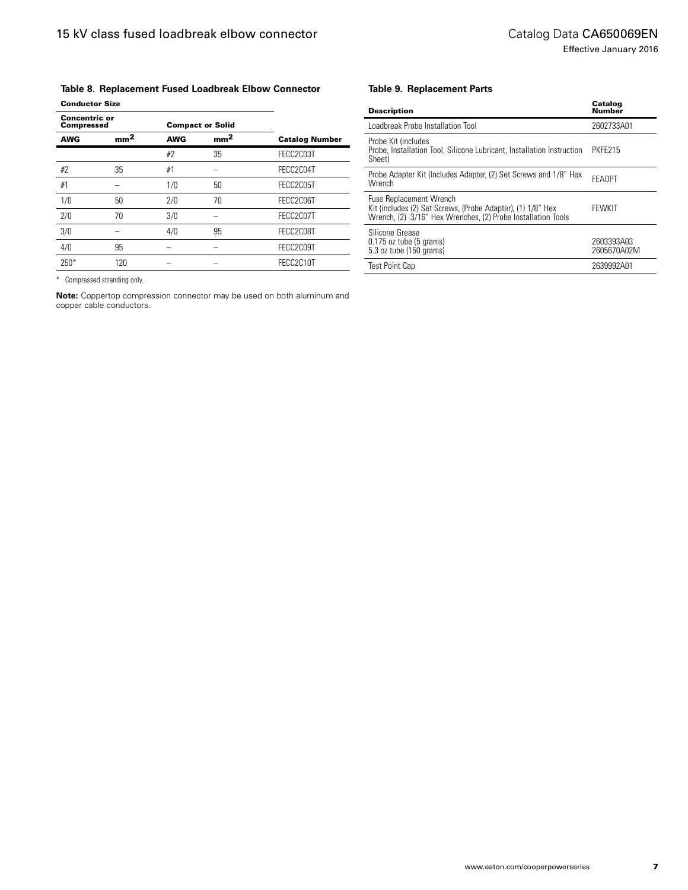## **Table 8. Replacement Fused Loadbreak Elbow Connector** Conductor Size

| <b>Concentric or</b><br><b>Compressed</b> |                 |            | <b>Compact or Solid</b> |                       |
|-------------------------------------------|-----------------|------------|-------------------------|-----------------------|
| <b>AWG</b>                                | mm <sup>2</sup> | <b>AWG</b> | mm <sup>2</sup>         | <b>Catalog Number</b> |
|                                           |                 | #2         | 35                      | FECC2C03T             |
| #2                                        | 35              | #1         |                         | FECC2C04T             |
| #1                                        |                 | 1/0        | 50                      | FECC2C05T             |
| 1/0                                       | 50              | 2/0        | 70                      | FECC2C06T             |
| 2/0                                       | 70              | 3/0        |                         | FECC2C07T             |
| 3/0                                       |                 | 4/0        | 95                      | FECC2C08T             |
| 4/0                                       | 95              |            |                         | FECC2C09T             |
| $250*$                                    | 120             |            |                         | FECC2C10T             |

\* Compressed stranding only.

**Note:** Coppertop compression connector may be used on both aluminum and copper cable conductors.

#### **Table 9. Replacement Parts**

| <b>Description</b>                                                                                                                                            | Catalog<br>Number         |
|---------------------------------------------------------------------------------------------------------------------------------------------------------------|---------------------------|
| Loadbreak Probe Installation Tool                                                                                                                             | 2602733A01                |
| Probe Kit (includes<br>Probe, Installation Tool, Silicone Lubricant, Installation Instruction<br>Sheet)                                                       | PKFE215                   |
| Probe Adapter Kit (Includes Adapter, (2) Set Screws and 1/8" Hex<br>Wrench                                                                                    | <b>FFADPT</b>             |
| <b>Fuse Replacement Wrench</b><br>Kit (includes (2) Set Screws, (Probe Adapter), (1) 1/8" Hex<br>Wrench, (2) 3/16" Hex Wrenches, (2) Probe Installation Tools | <b>FFWKIT</b>             |
| Silicone Grease<br>$0.175$ oz tube (5 grams)<br>5.3 oz tube (150 grams)                                                                                       | 2603393A03<br>2605670A02M |
| <b>Test Point Cap</b>                                                                                                                                         | 2639992A01                |